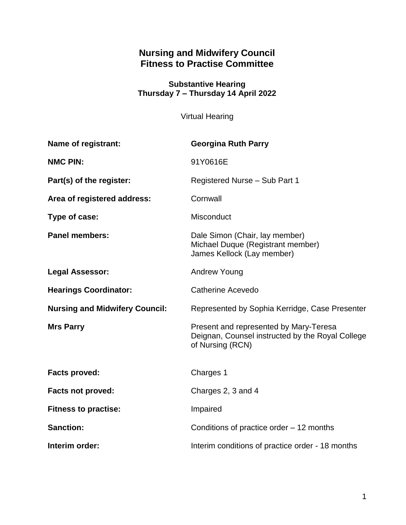# **Nursing and Midwifery Council Fitness to Practise Committee**

#### **Substantive Hearing Thursday 7 – Thursday 14 April 2022**

Virtual Hearing

| Name of registrant:                   | <b>Georgina Ruth Parry</b>                                                                                     |
|---------------------------------------|----------------------------------------------------------------------------------------------------------------|
| <b>NMC PIN:</b>                       | 91Y0616E                                                                                                       |
| Part(s) of the register:              | Registered Nurse - Sub Part 1                                                                                  |
| Area of registered address:           | Cornwall                                                                                                       |
| Type of case:                         | Misconduct                                                                                                     |
| <b>Panel members:</b>                 | Dale Simon (Chair, lay member)<br>Michael Duque (Registrant member)<br>James Kellock (Lay member)              |
| <b>Legal Assessor:</b>                | <b>Andrew Young</b>                                                                                            |
| <b>Hearings Coordinator:</b>          | <b>Catherine Acevedo</b>                                                                                       |
| <b>Nursing and Midwifery Council:</b> | Represented by Sophia Kerridge, Case Presenter                                                                 |
| <b>Mrs Parry</b>                      | Present and represented by Mary-Teresa<br>Deignan, Counsel instructed by the Royal College<br>of Nursing (RCN) |
| <b>Facts proved:</b>                  | Charges 1                                                                                                      |
| <b>Facts not proved:</b>              | Charges 2, 3 and 4                                                                                             |
| <b>Fitness to practise:</b>           | Impaired                                                                                                       |
| <b>Sanction:</b>                      | Conditions of practice order $-12$ months                                                                      |
| Interim order:                        | Interim conditions of practice order - 18 months                                                               |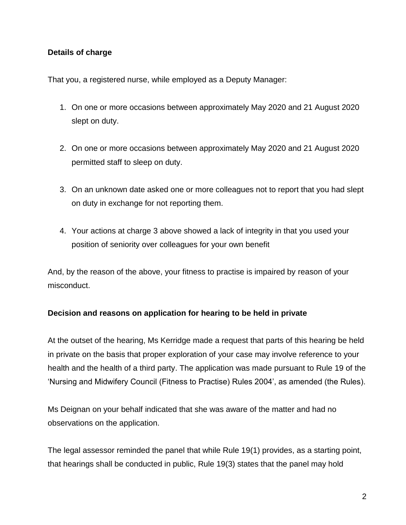# **Details of charge**

That you, a registered nurse, while employed as a Deputy Manager:

- 1. On one or more occasions between approximately May 2020 and 21 August 2020 slept on duty.
- 2. On one or more occasions between approximately May 2020 and 21 August 2020 permitted staff to sleep on duty.
- 3. On an unknown date asked one or more colleagues not to report that you had slept on duty in exchange for not reporting them.
- 4. Your actions at charge 3 above showed a lack of integrity in that you used your position of seniority over colleagues for your own benefit

And, by the reason of the above, your fitness to practise is impaired by reason of your misconduct.

# **Decision and reasons on application for hearing to be held in private**

At the outset of the hearing, Ms Kerridge made a request that parts of this hearing be held in private on the basis that proper exploration of your case may involve reference to your health and the health of a third party. The application was made pursuant to Rule 19 of the 'Nursing and Midwifery Council (Fitness to Practise) Rules 2004', as amended (the Rules).

Ms Deignan on your behalf indicated that she was aware of the matter and had no observations on the application.

The legal assessor reminded the panel that while Rule 19(1) provides, as a starting point, that hearings shall be conducted in public, Rule 19(3) states that the panel may hold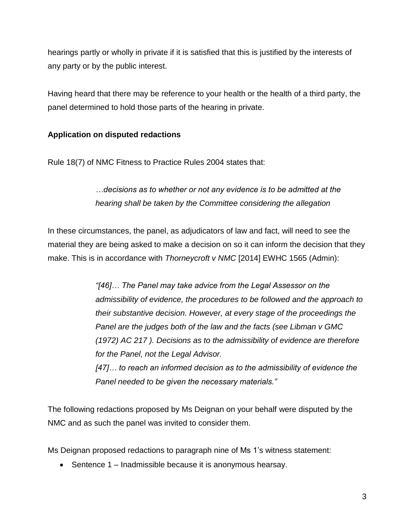hearings partly or wholly in private if it is satisfied that this is justified by the interests of any party or by the public interest.

Having heard that there may be reference to your health or the health of a third party, the panel determined to hold those parts of the hearing in private.

# **Application on disputed redactions**

Rule 18(7) of NMC Fitness to Practice Rules 2004 states that:

# *…decisions as to whether or not any evidence is to be admitted at the hearing shall be taken by the Committee considering the allegation*

In these circumstances, the panel, as adjudicators of law and fact, will need to see the material they are being asked to make a decision on so it can inform the decision that they make. This is in accordance with *Thorneycroft v NMC* [2014] EWHC 1565 (Admin):

> *"[46]… The Panel may take advice from the Legal Assessor on the admissibility of evidence, the procedures to be followed and the approach to their substantive decision. However, at every stage of the proceedings the Panel are the judges both of the law and the facts (see Libman v GMC (1972) AC 217 ). Decisions as to the admissibility of evidence are therefore for the Panel, not the Legal Advisor.*

*[47]… to reach an informed decision as to the admissibility of evidence the Panel needed to be given the necessary materials."*

The following redactions proposed by Ms Deignan on your behalf were disputed by the NMC and as such the panel was invited to consider them.

Ms Deignan proposed redactions to paragraph nine of Ms 1's witness statement:

• Sentence 1 – Inadmissible because it is anonymous hearsay.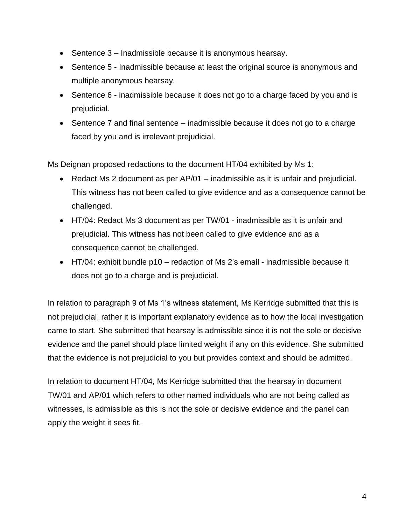- Sentence 3 Inadmissible because it is anonymous hearsay.
- Sentence 5 Inadmissible because at least the original source is anonymous and multiple anonymous hearsay.
- Sentence 6 inadmissible because it does not go to a charge faced by you and is prejudicial.
- Sentence 7 and final sentence inadmissible because it does not go to a charge faced by you and is irrelevant prejudicial.

Ms Deignan proposed redactions to the document HT/04 exhibited by Ms 1:

- Redact Ms 2 document as per AP/01 inadmissible as it is unfair and prejudicial. This witness has not been called to give evidence and as a consequence cannot be challenged.
- HT/04: Redact Ms 3 document as per TW/01 inadmissible as it is unfair and prejudicial. This witness has not been called to give evidence and as a consequence cannot be challenged.
- HT/04: exhibit bundle p10 redaction of Ms 2's email inadmissible because it does not go to a charge and is prejudicial.

In relation to paragraph 9 of Ms 1's witness statement, Ms Kerridge submitted that this is not prejudicial, rather it is important explanatory evidence as to how the local investigation came to start. She submitted that hearsay is admissible since it is not the sole or decisive evidence and the panel should place limited weight if any on this evidence. She submitted that the evidence is not prejudicial to you but provides context and should be admitted.

In relation to document HT/04, Ms Kerridge submitted that the hearsay in document TW/01 and AP/01 which refers to other named individuals who are not being called as witnesses, is admissible as this is not the sole or decisive evidence and the panel can apply the weight it sees fit.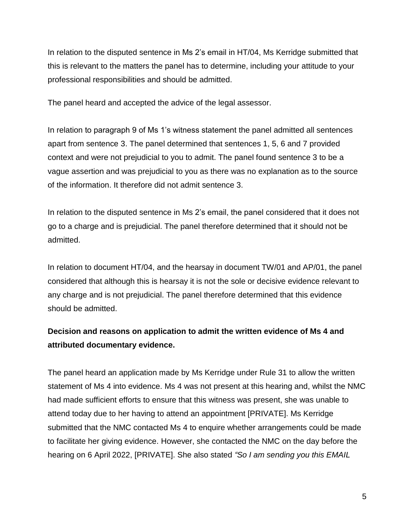In relation to the disputed sentence in Ms 2's email in HT/04, Ms Kerridge submitted that this is relevant to the matters the panel has to determine, including your attitude to your professional responsibilities and should be admitted.

The panel heard and accepted the advice of the legal assessor.

In relation to paragraph 9 of Ms 1's witness statement the panel admitted all sentences apart from sentence 3. The panel determined that sentences 1, 5, 6 and 7 provided context and were not prejudicial to you to admit. The panel found sentence 3 to be a vague assertion and was prejudicial to you as there was no explanation as to the source of the information. It therefore did not admit sentence 3.

In relation to the disputed sentence in Ms 2's email, the panel considered that it does not go to a charge and is prejudicial. The panel therefore determined that it should not be admitted.

In relation to document HT/04, and the hearsay in document TW/01 and AP/01, the panel considered that although this is hearsay it is not the sole or decisive evidence relevant to any charge and is not prejudicial. The panel therefore determined that this evidence should be admitted.

# **Decision and reasons on application to admit the written evidence of Ms 4 and attributed documentary evidence.**

The panel heard an application made by Ms Kerridge under Rule 31 to allow the written statement of Ms 4 into evidence. Ms 4 was not present at this hearing and, whilst the NMC had made sufficient efforts to ensure that this witness was present, she was unable to attend today due to her having to attend an appointment [PRIVATE]. Ms Kerridge submitted that the NMC contacted Ms 4 to enquire whether arrangements could be made to facilitate her giving evidence. However, she contacted the NMC on the day before the hearing on 6 April 2022, [PRIVATE]. She also stated *"So I am sending you this EMAIL*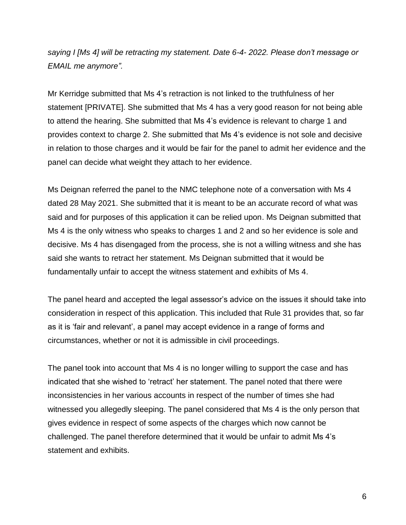*saying I [Ms 4] will be retracting my statement. Date 6-4- 2022. Please don't message or EMAIL me anymore".*

Mr Kerridge submitted that Ms 4's retraction is not linked to the truthfulness of her statement [PRIVATE]. She submitted that Ms 4 has a very good reason for not being able to attend the hearing. She submitted that Ms 4's evidence is relevant to charge 1 and provides context to charge 2. She submitted that Ms 4's evidence is not sole and decisive in relation to those charges and it would be fair for the panel to admit her evidence and the panel can decide what weight they attach to her evidence.

Ms Deignan referred the panel to the NMC telephone note of a conversation with Ms 4 dated 28 May 2021. She submitted that it is meant to be an accurate record of what was said and for purposes of this application it can be relied upon. Ms Deignan submitted that Ms 4 is the only witness who speaks to charges 1 and 2 and so her evidence is sole and decisive. Ms 4 has disengaged from the process, she is not a willing witness and she has said she wants to retract her statement. Ms Deignan submitted that it would be fundamentally unfair to accept the witness statement and exhibits of Ms 4.

The panel heard and accepted the legal assessor's advice on the issues it should take into consideration in respect of this application. This included that Rule 31 provides that, so far as it is 'fair and relevant', a panel may accept evidence in a range of forms and circumstances, whether or not it is admissible in civil proceedings.

The panel took into account that Ms 4 is no longer willing to support the case and has indicated that she wished to 'retract' her statement. The panel noted that there were inconsistencies in her various accounts in respect of the number of times she had witnessed you allegedly sleeping. The panel considered that Ms 4 is the only person that gives evidence in respect of some aspects of the charges which now cannot be challenged. The panel therefore determined that it would be unfair to admit Ms 4's statement and exhibits.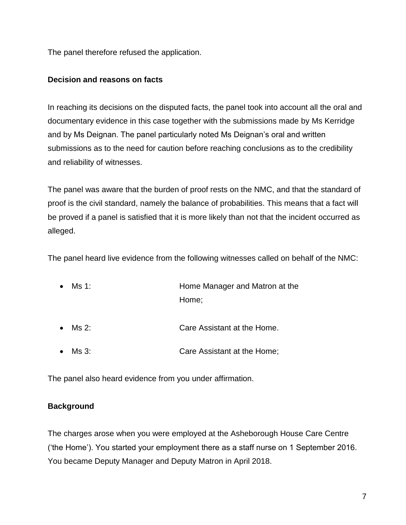The panel therefore refused the application.

### **Decision and reasons on facts**

In reaching its decisions on the disputed facts, the panel took into account all the oral and documentary evidence in this case together with the submissions made by Ms Kerridge and by Ms Deignan. The panel particularly noted Ms Deignan's oral and written submissions as to the need for caution before reaching conclusions as to the credibility and reliability of witnesses.

The panel was aware that the burden of proof rests on the NMC, and that the standard of proof is the civil standard, namely the balance of probabilities. This means that a fact will be proved if a panel is satisfied that it is more likely than not that the incident occurred as alleged.

The panel heard live evidence from the following witnesses called on behalf of the NMC:

- Ms 1: **Home Manager and Matron at the** Home;
- Ms 2: Care Assistant at the Home.
- Ms 3: Care Assistant at the Home;

The panel also heard evidence from you under affirmation.

# **Background**

The charges arose when you were employed at the Asheborough House Care Centre ('the Home'). You started your employment there as a staff nurse on 1 September 2016. You became Deputy Manager and Deputy Matron in April 2018.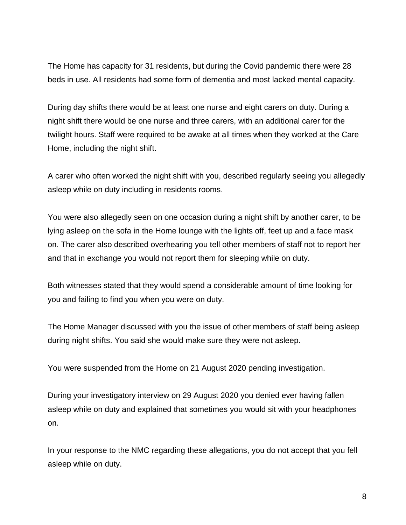The Home has capacity for 31 residents, but during the Covid pandemic there were 28 beds in use. All residents had some form of dementia and most lacked mental capacity.

During day shifts there would be at least one nurse and eight carers on duty. During a night shift there would be one nurse and three carers, with an additional carer for the twilight hours. Staff were required to be awake at all times when they worked at the Care Home, including the night shift.

A carer who often worked the night shift with you, described regularly seeing you allegedly asleep while on duty including in residents rooms.

You were also allegedly seen on one occasion during a night shift by another carer, to be lying asleep on the sofa in the Home lounge with the lights off, feet up and a face mask on. The carer also described overhearing you tell other members of staff not to report her and that in exchange you would not report them for sleeping while on duty.

Both witnesses stated that they would spend a considerable amount of time looking for you and failing to find you when you were on duty.

The Home Manager discussed with you the issue of other members of staff being asleep during night shifts. You said she would make sure they were not asleep.

You were suspended from the Home on 21 August 2020 pending investigation.

During your investigatory interview on 29 August 2020 you denied ever having fallen asleep while on duty and explained that sometimes you would sit with your headphones on.

In your response to the NMC regarding these allegations, you do not accept that you fell asleep while on duty.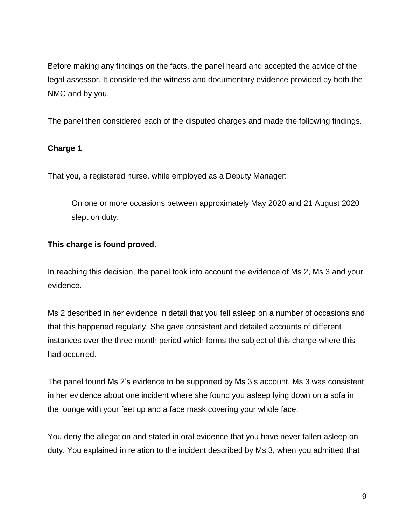Before making any findings on the facts, the panel heard and accepted the advice of the legal assessor. It considered the witness and documentary evidence provided by both the NMC and by you.

The panel then considered each of the disputed charges and made the following findings.

# **Charge 1**

That you, a registered nurse, while employed as a Deputy Manager:

On one or more occasions between approximately May 2020 and 21 August 2020 slept on duty.

# **This charge is found proved.**

In reaching this decision, the panel took into account the evidence of Ms 2, Ms 3 and your evidence.

Ms 2 described in her evidence in detail that you fell asleep on a number of occasions and that this happened regularly. She gave consistent and detailed accounts of different instances over the three month period which forms the subject of this charge where this had occurred.

The panel found Ms 2's evidence to be supported by Ms 3's account. Ms 3 was consistent in her evidence about one incident where she found you asleep lying down on a sofa in the lounge with your feet up and a face mask covering your whole face.

You deny the allegation and stated in oral evidence that you have never fallen asleep on duty. You explained in relation to the incident described by Ms 3, when you admitted that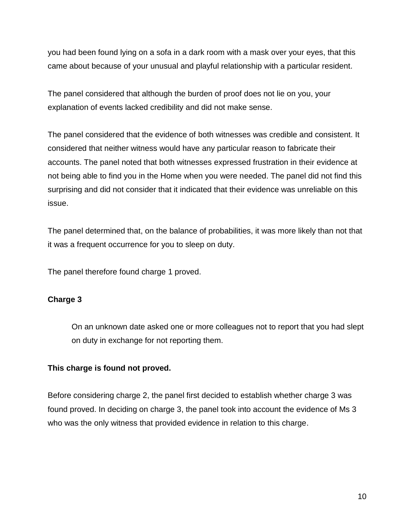you had been found lying on a sofa in a dark room with a mask over your eyes, that this came about because of your unusual and playful relationship with a particular resident.

The panel considered that although the burden of proof does not lie on you, your explanation of events lacked credibility and did not make sense.

The panel considered that the evidence of both witnesses was credible and consistent. It considered that neither witness would have any particular reason to fabricate their accounts. The panel noted that both witnesses expressed frustration in their evidence at not being able to find you in the Home when you were needed. The panel did not find this surprising and did not consider that it indicated that their evidence was unreliable on this issue.

The panel determined that, on the balance of probabilities, it was more likely than not that it was a frequent occurrence for you to sleep on duty.

The panel therefore found charge 1 proved.

# **Charge 3**

On an unknown date asked one or more colleagues not to report that you had slept on duty in exchange for not reporting them.

#### **This charge is found not proved.**

Before considering charge 2, the panel first decided to establish whether charge 3 was found proved. In deciding on charge 3, the panel took into account the evidence of Ms 3 who was the only witness that provided evidence in relation to this charge.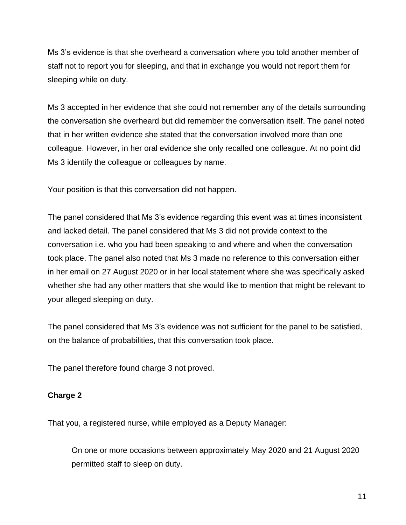Ms 3's evidence is that she overheard a conversation where you told another member of staff not to report you for sleeping, and that in exchange you would not report them for sleeping while on duty.

Ms 3 accepted in her evidence that she could not remember any of the details surrounding the conversation she overheard but did remember the conversation itself. The panel noted that in her written evidence she stated that the conversation involved more than one colleague. However, in her oral evidence she only recalled one colleague. At no point did Ms 3 identify the colleague or colleagues by name.

Your position is that this conversation did not happen.

The panel considered that Ms 3's evidence regarding this event was at times inconsistent and lacked detail. The panel considered that Ms 3 did not provide context to the conversation i.e. who you had been speaking to and where and when the conversation took place. The panel also noted that Ms 3 made no reference to this conversation either in her email on 27 August 2020 or in her local statement where she was specifically asked whether she had any other matters that she would like to mention that might be relevant to your alleged sleeping on duty.

The panel considered that Ms 3's evidence was not sufficient for the panel to be satisfied, on the balance of probabilities, that this conversation took place.

The panel therefore found charge 3 not proved.

# **Charge 2**

That you, a registered nurse, while employed as a Deputy Manager:

On one or more occasions between approximately May 2020 and 21 August 2020 permitted staff to sleep on duty.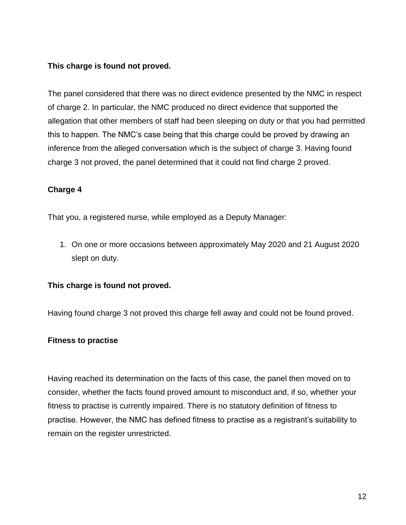# **This charge is found not proved.**

The panel considered that there was no direct evidence presented by the NMC in respect of charge 2. In particular, the NMC produced no direct evidence that supported the allegation that other members of staff had been sleeping on duty or that you had permitted this to happen. The NMC's case being that this charge could be proved by drawing an inference from the alleged conversation which is the subject of charge 3. Having found charge 3 not proved, the panel determined that it could not find charge 2 proved.

# **Charge 4**

That you, a registered nurse, while employed as a Deputy Manager:

1. On one or more occasions between approximately May 2020 and 21 August 2020 slept on duty.

# **This charge is found not proved.**

Having found charge 3 not proved this charge fell away and could not be found proved.

# **Fitness to practise**

Having reached its determination on the facts of this case, the panel then moved on to consider, whether the facts found proved amount to misconduct and, if so, whether your fitness to practise is currently impaired. There is no statutory definition of fitness to practise. However, the NMC has defined fitness to practise as a registrant's suitability to remain on the register unrestricted.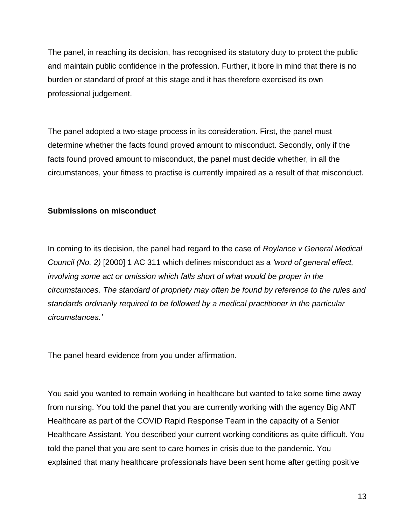The panel, in reaching its decision, has recognised its statutory duty to protect the public and maintain public confidence in the profession. Further, it bore in mind that there is no burden or standard of proof at this stage and it has therefore exercised its own professional judgement.

The panel adopted a two-stage process in its consideration. First, the panel must determine whether the facts found proved amount to misconduct. Secondly, only if the facts found proved amount to misconduct, the panel must decide whether, in all the circumstances, your fitness to practise is currently impaired as a result of that misconduct.

# **Submissions on misconduct**

In coming to its decision, the panel had regard to the case of *Roylance v General Medical Council (No. 2)* [2000] 1 AC 311 which defines misconduct as a *'word of general effect, involving some act or omission which falls short of what would be proper in the circumstances. The standard of propriety may often be found by reference to the rules and standards ordinarily required to be followed by a medical practitioner in the particular circumstances.'*

The panel heard evidence from you under affirmation.

You said you wanted to remain working in healthcare but wanted to take some time away from nursing. You told the panel that you are currently working with the agency Big ANT Healthcare as part of the COVID Rapid Response Team in the capacity of a Senior Healthcare Assistant. You described your current working conditions as quite difficult. You told the panel that you are sent to care homes in crisis due to the pandemic. You explained that many healthcare professionals have been sent home after getting positive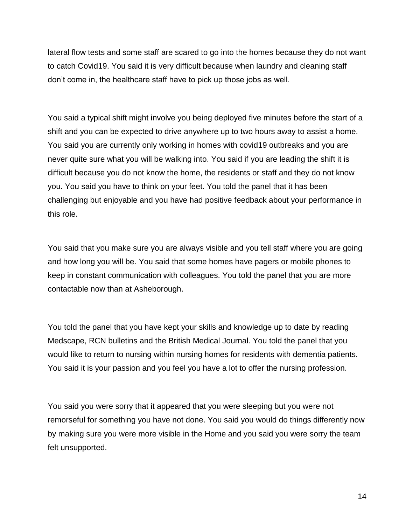lateral flow tests and some staff are scared to go into the homes because they do not want to catch Covid19. You said it is very difficult because when laundry and cleaning staff don't come in, the healthcare staff have to pick up those jobs as well.

You said a typical shift might involve you being deployed five minutes before the start of a shift and you can be expected to drive anywhere up to two hours away to assist a home. You said you are currently only working in homes with covid19 outbreaks and you are never quite sure what you will be walking into. You said if you are leading the shift it is difficult because you do not know the home, the residents or staff and they do not know you. You said you have to think on your feet. You told the panel that it has been challenging but enjoyable and you have had positive feedback about your performance in this role.

You said that you make sure you are always visible and you tell staff where you are going and how long you will be. You said that some homes have pagers or mobile phones to keep in constant communication with colleagues. You told the panel that you are more contactable now than at Asheborough.

You told the panel that you have kept your skills and knowledge up to date by reading Medscape, RCN bulletins and the British Medical Journal. You told the panel that you would like to return to nursing within nursing homes for residents with dementia patients. You said it is your passion and you feel you have a lot to offer the nursing profession.

You said you were sorry that it appeared that you were sleeping but you were not remorseful for something you have not done. You said you would do things differently now by making sure you were more visible in the Home and you said you were sorry the team felt unsupported.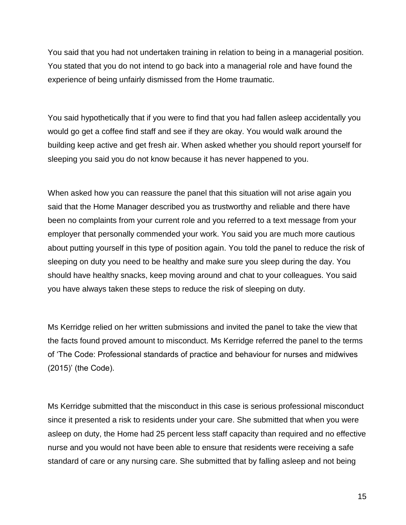You said that you had not undertaken training in relation to being in a managerial position. You stated that you do not intend to go back into a managerial role and have found the experience of being unfairly dismissed from the Home traumatic.

You said hypothetically that if you were to find that you had fallen asleep accidentally you would go get a coffee find staff and see if they are okay. You would walk around the building keep active and get fresh air. When asked whether you should report yourself for sleeping you said you do not know because it has never happened to you.

When asked how you can reassure the panel that this situation will not arise again you said that the Home Manager described you as trustworthy and reliable and there have been no complaints from your current role and you referred to a text message from your employer that personally commended your work. You said you are much more cautious about putting yourself in this type of position again. You told the panel to reduce the risk of sleeping on duty you need to be healthy and make sure you sleep during the day. You should have healthy snacks, keep moving around and chat to your colleagues. You said you have always taken these steps to reduce the risk of sleeping on duty.

Ms Kerridge relied on her written submissions and invited the panel to take the view that the facts found proved amount to misconduct. Ms Kerridge referred the panel to the terms of 'The Code: Professional standards of practice and behaviour for nurses and midwives (2015)' (the Code).

Ms Kerridge submitted that the misconduct in this case is serious professional misconduct since it presented a risk to residents under your care. She submitted that when you were asleep on duty, the Home had 25 percent less staff capacity than required and no effective nurse and you would not have been able to ensure that residents were receiving a safe standard of care or any nursing care. She submitted that by falling asleep and not being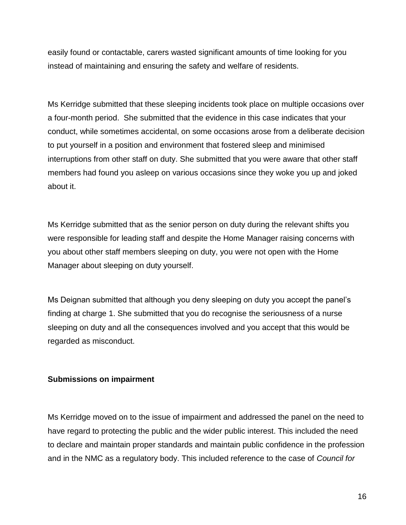easily found or contactable, carers wasted significant amounts of time looking for you instead of maintaining and ensuring the safety and welfare of residents.

Ms Kerridge submitted that these sleeping incidents took place on multiple occasions over a four-month period. She submitted that the evidence in this case indicates that your conduct, while sometimes accidental, on some occasions arose from a deliberate decision to put yourself in a position and environment that fostered sleep and minimised interruptions from other staff on duty. She submitted that you were aware that other staff members had found you asleep on various occasions since they woke you up and joked about it.

Ms Kerridge submitted that as the senior person on duty during the relevant shifts you were responsible for leading staff and despite the Home Manager raising concerns with you about other staff members sleeping on duty, you were not open with the Home Manager about sleeping on duty yourself.

Ms Deignan submitted that although you deny sleeping on duty you accept the panel's finding at charge 1. She submitted that you do recognise the seriousness of a nurse sleeping on duty and all the consequences involved and you accept that this would be regarded as misconduct.

#### **Submissions on impairment**

Ms Kerridge moved on to the issue of impairment and addressed the panel on the need to have regard to protecting the public and the wider public interest. This included the need to declare and maintain proper standards and maintain public confidence in the profession and in the NMC as a regulatory body. This included reference to the case of *Council for*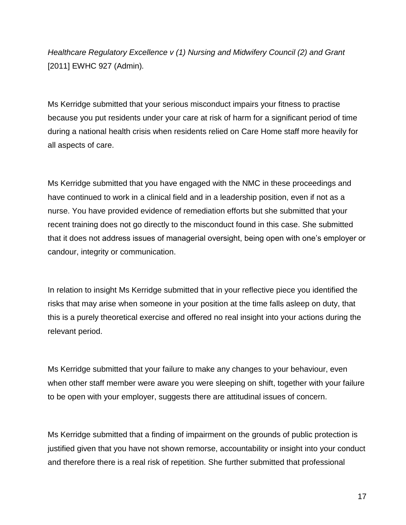*Healthcare Regulatory Excellence v (1) Nursing and Midwifery Council (2) and Grant*  [2011] EWHC 927 (Admin)*.*

Ms Kerridge submitted that your serious misconduct impairs your fitness to practise because you put residents under your care at risk of harm for a significant period of time during a national health crisis when residents relied on Care Home staff more heavily for all aspects of care.

Ms Kerridge submitted that you have engaged with the NMC in these proceedings and have continued to work in a clinical field and in a leadership position, even if not as a nurse. You have provided evidence of remediation efforts but she submitted that your recent training does not go directly to the misconduct found in this case. She submitted that it does not address issues of managerial oversight, being open with one's employer or candour, integrity or communication.

In relation to insight Ms Kerridge submitted that in your reflective piece you identified the risks that may arise when someone in your position at the time falls asleep on duty, that this is a purely theoretical exercise and offered no real insight into your actions during the relevant period.

Ms Kerridge submitted that your failure to make any changes to your behaviour, even when other staff member were aware you were sleeping on shift, together with your failure to be open with your employer, suggests there are attitudinal issues of concern.

Ms Kerridge submitted that a finding of impairment on the grounds of public protection is justified given that you have not shown remorse, accountability or insight into your conduct and therefore there is a real risk of repetition. She further submitted that professional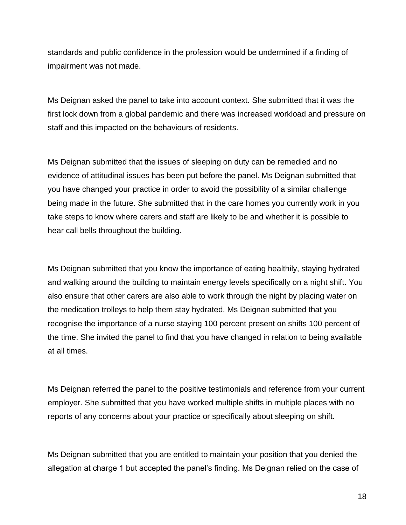standards and public confidence in the profession would be undermined if a finding of impairment was not made.

Ms Deignan asked the panel to take into account context. She submitted that it was the first lock down from a global pandemic and there was increased workload and pressure on staff and this impacted on the behaviours of residents.

Ms Deignan submitted that the issues of sleeping on duty can be remedied and no evidence of attitudinal issues has been put before the panel. Ms Deignan submitted that you have changed your practice in order to avoid the possibility of a similar challenge being made in the future. She submitted that in the care homes you currently work in you take steps to know where carers and staff are likely to be and whether it is possible to hear call bells throughout the building.

Ms Deignan submitted that you know the importance of eating healthily, staying hydrated and walking around the building to maintain energy levels specifically on a night shift. You also ensure that other carers are also able to work through the night by placing water on the medication trolleys to help them stay hydrated. Ms Deignan submitted that you recognise the importance of a nurse staying 100 percent present on shifts 100 percent of the time. She invited the panel to find that you have changed in relation to being available at all times.

Ms Deignan referred the panel to the positive testimonials and reference from your current employer. She submitted that you have worked multiple shifts in multiple places with no reports of any concerns about your practice or specifically about sleeping on shift.

Ms Deignan submitted that you are entitled to maintain your position that you denied the allegation at charge 1 but accepted the panel's finding. Ms Deignan relied on the case of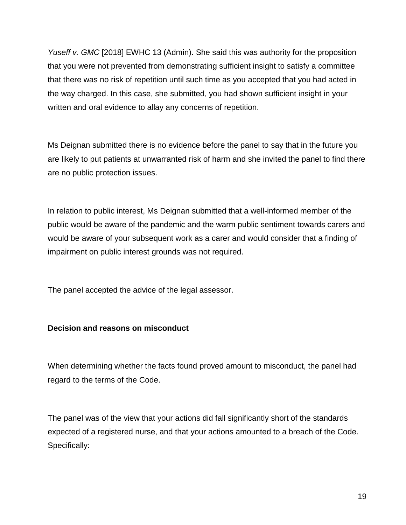*Yuseff v. GMC* [2018] EWHC 13 (Admin). She said this was authority for the proposition that you were not prevented from demonstrating sufficient insight to satisfy a committee that there was no risk of repetition until such time as you accepted that you had acted in the way charged. In this case, she submitted, you had shown sufficient insight in your written and oral evidence to allay any concerns of repetition.

Ms Deignan submitted there is no evidence before the panel to say that in the future you are likely to put patients at unwarranted risk of harm and she invited the panel to find there are no public protection issues.

In relation to public interest, Ms Deignan submitted that a well-informed member of the public would be aware of the pandemic and the warm public sentiment towards carers and would be aware of your subsequent work as a carer and would consider that a finding of impairment on public interest grounds was not required.

The panel accepted the advice of the legal assessor.

# **Decision and reasons on misconduct**

When determining whether the facts found proved amount to misconduct, the panel had regard to the terms of the Code.

The panel was of the view that your actions did fall significantly short of the standards expected of a registered nurse, and that your actions amounted to a breach of the Code. Specifically: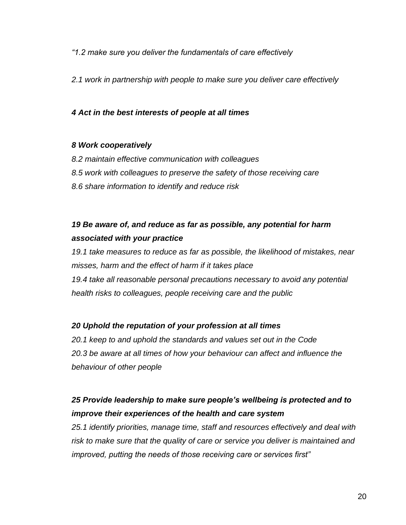*"1.2 make sure you deliver the fundamentals of care effectively*

*2.1 work in partnership with people to make sure you deliver care effectively*

# *4 Act in the best interests of people at all times*

### *8 Work cooperatively*

- *8.2 maintain effective communication with colleagues 8.5 work with colleagues to preserve the safety of those receiving care*
- *8.6 share information to identify and reduce risk*

# *19 Be aware of, and reduce as far as possible, any potential for harm associated with your practice*

*19.1 take measures to reduce as far as possible, the likelihood of mistakes, near misses, harm and the effect of harm if it takes place 19.4 take all reasonable personal precautions necessary to avoid any potential health risks to colleagues, people receiving care and the public*

# *20 Uphold the reputation of your profession at all times*

*20.1 keep to and uphold the standards and values set out in the Code 20.3 be aware at all times of how your behaviour can affect and influence the behaviour of other people*

# *25 Provide leadership to make sure people's wellbeing is protected and to improve their experiences of the health and care system*

*25.1 identify priorities, manage time, staff and resources effectively and deal with risk to make sure that the quality of care or service you deliver is maintained and improved, putting the needs of those receiving care or services first"*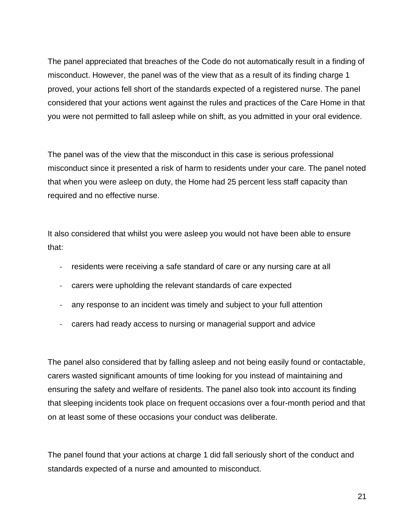The panel appreciated that breaches of the Code do not automatically result in a finding of misconduct. However, the panel was of the view that as a result of its finding charge 1 proved, your actions fell short of the standards expected of a registered nurse. The panel considered that your actions went against the rules and practices of the Care Home in that you were not permitted to fall asleep while on shift, as you admitted in your oral evidence.

The panel was of the view that the misconduct in this case is serious professional misconduct since it presented a risk of harm to residents under your care. The panel noted that when you were asleep on duty, the Home had 25 percent less staff capacity than required and no effective nurse.

It also considered that whilst you were asleep you would not have been able to ensure that:

- residents were receiving a safe standard of care or any nursing care at all
- carers were upholding the relevant standards of care expected
- any response to an incident was timely and subject to your full attention
- carers had ready access to nursing or managerial support and advice

The panel also considered that by falling asleep and not being easily found or contactable, carers wasted significant amounts of time looking for you instead of maintaining and ensuring the safety and welfare of residents. The panel also took into account its finding that sleeping incidents took place on frequent occasions over a four-month period and that on at least some of these occasions your conduct was deliberate.

The panel found that your actions at charge 1 did fall seriously short of the conduct and standards expected of a nurse and amounted to misconduct.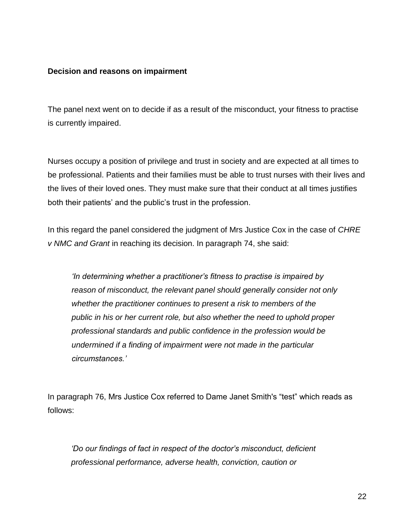### **Decision and reasons on impairment**

The panel next went on to decide if as a result of the misconduct, your fitness to practise is currently impaired.

Nurses occupy a position of privilege and trust in society and are expected at all times to be professional. Patients and their families must be able to trust nurses with their lives and the lives of their loved ones. They must make sure that their conduct at all times justifies both their patients' and the public's trust in the profession.

In this regard the panel considered the judgment of Mrs Justice Cox in the case of *CHRE v NMC and Grant* in reaching its decision. In paragraph 74, she said:

*'In determining whether a practitioner's fitness to practise is impaired by reason of misconduct, the relevant panel should generally consider not only whether the practitioner continues to present a risk to members of the public in his or her current role, but also whether the need to uphold proper professional standards and public confidence in the profession would be undermined if a finding of impairment were not made in the particular circumstances.'*

In paragraph 76, Mrs Justice Cox referred to Dame Janet Smith's "test" which reads as follows:

*'Do our findings of fact in respect of the doctor's misconduct, deficient professional performance, adverse health, conviction, caution or*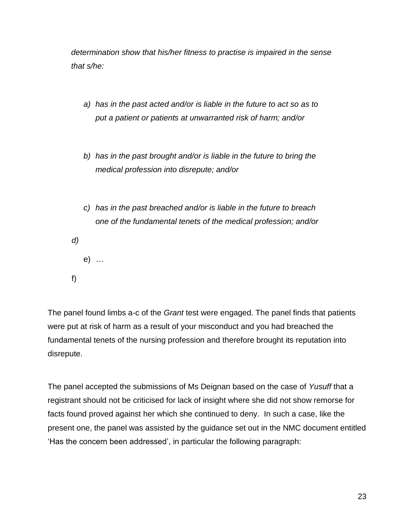*determination show that his/her fitness to practise is impaired in the sense that s/he:*

- *a) has in the past acted and/or is liable in the future to act so as to put a patient or patients at unwarranted risk of harm; and/or*
- *b) has in the past brought and/or is liable in the future to bring the medical profession into disrepute; and/or*
- *c) has in the past breached and/or is liable in the future to breach one of the fundamental tenets of the medical profession; and/or*
- *d)*

e) *…*

f)

The panel found limbs a-c of the *Grant* test were engaged. The panel finds that patients were put at risk of harm as a result of your misconduct and you had breached the fundamental tenets of the nursing profession and therefore brought its reputation into disrepute.

The panel accepted the submissions of Ms Deignan based on the case of *Yusuff* that a registrant should not be criticised for lack of insight where she did not show remorse for facts found proved against her which she continued to deny. In such a case, like the present one, the panel was assisted by the guidance set out in the NMC document entitled 'Has the concern been addressed', in particular the following paragraph: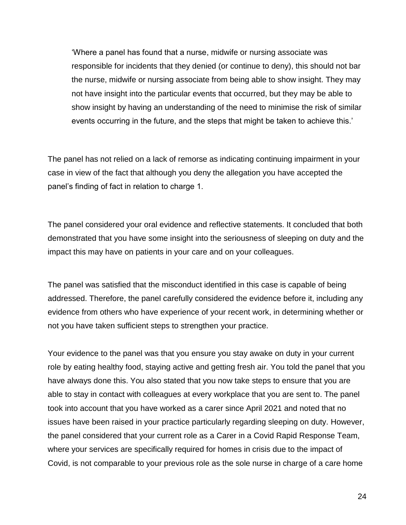'Where a panel has found that a nurse, midwife or nursing associate was responsible for incidents that they denied (or continue to deny), this should not bar the nurse, midwife or nursing associate from being able to show insight. They may not have insight into the particular events that occurred, but they may be able to show insight by having an understanding of the need to minimise the risk of similar events occurring in the future, and the steps that might be taken to achieve this.'

The panel has not relied on a lack of remorse as indicating continuing impairment in your case in view of the fact that although you deny the allegation you have accepted the panel's finding of fact in relation to charge 1.

The panel considered your oral evidence and reflective statements. It concluded that both demonstrated that you have some insight into the seriousness of sleeping on duty and the impact this may have on patients in your care and on your colleagues.

The panel was satisfied that the misconduct identified in this case is capable of being addressed. Therefore, the panel carefully considered the evidence before it, including any evidence from others who have experience of your recent work, in determining whether or not you have taken sufficient steps to strengthen your practice.

Your evidence to the panel was that you ensure you stay awake on duty in your current role by eating healthy food, staying active and getting fresh air. You told the panel that you have always done this. You also stated that you now take steps to ensure that you are able to stay in contact with colleagues at every workplace that you are sent to. The panel took into account that you have worked as a carer since April 2021 and noted that no issues have been raised in your practice particularly regarding sleeping on duty. However, the panel considered that your current role as a Carer in a Covid Rapid Response Team, where your services are specifically required for homes in crisis due to the impact of Covid, is not comparable to your previous role as the sole nurse in charge of a care home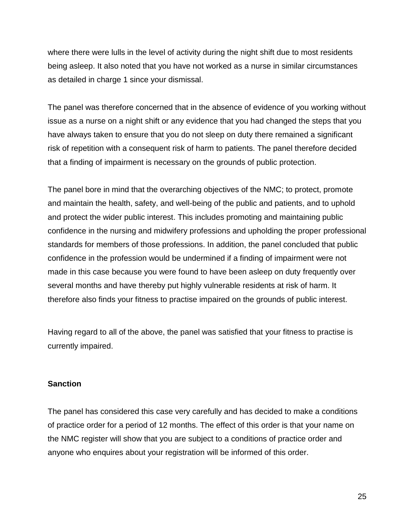where there were lulls in the level of activity during the night shift due to most residents being asleep. It also noted that you have not worked as a nurse in similar circumstances as detailed in charge 1 since your dismissal.

The panel was therefore concerned that in the absence of evidence of you working without issue as a nurse on a night shift or any evidence that you had changed the steps that you have always taken to ensure that you do not sleep on duty there remained a significant risk of repetition with a consequent risk of harm to patients. The panel therefore decided that a finding of impairment is necessary on the grounds of public protection.

The panel bore in mind that the overarching objectives of the NMC; to protect, promote and maintain the health, safety, and well-being of the public and patients, and to uphold and protect the wider public interest. This includes promoting and maintaining public confidence in the nursing and midwifery professions and upholding the proper professional standards for members of those professions. In addition, the panel concluded that public confidence in the profession would be undermined if a finding of impairment were not made in this case because you were found to have been asleep on duty frequently over several months and have thereby put highly vulnerable residents at risk of harm. It therefore also finds your fitness to practise impaired on the grounds of public interest.

Having regard to all of the above, the panel was satisfied that your fitness to practise is currently impaired.

#### **Sanction**

The panel has considered this case very carefully and has decided to make a conditions of practice order for a period of 12 months. The effect of this order is that your name on the NMC register will show that you are subject to a conditions of practice order and anyone who enquires about your registration will be informed of this order.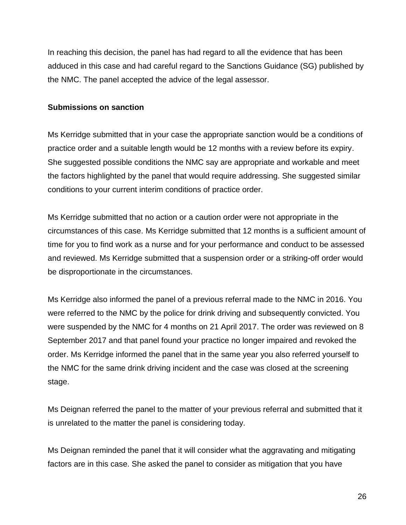In reaching this decision, the panel has had regard to all the evidence that has been adduced in this case and had careful regard to the Sanctions Guidance (SG) published by the NMC. The panel accepted the advice of the legal assessor.

### **Submissions on sanction**

Ms Kerridge submitted that in your case the appropriate sanction would be a conditions of practice order and a suitable length would be 12 months with a review before its expiry. She suggested possible conditions the NMC say are appropriate and workable and meet the factors highlighted by the panel that would require addressing. She suggested similar conditions to your current interim conditions of practice order.

Ms Kerridge submitted that no action or a caution order were not appropriate in the circumstances of this case. Ms Kerridge submitted that 12 months is a sufficient amount of time for you to find work as a nurse and for your performance and conduct to be assessed and reviewed. Ms Kerridge submitted that a suspension order or a striking-off order would be disproportionate in the circumstances.

Ms Kerridge also informed the panel of a previous referral made to the NMC in 2016. You were referred to the NMC by the police for drink driving and subsequently convicted. You were suspended by the NMC for 4 months on 21 April 2017. The order was reviewed on 8 September 2017 and that panel found your practice no longer impaired and revoked the order. Ms Kerridge informed the panel that in the same year you also referred yourself to the NMC for the same drink driving incident and the case was closed at the screening stage.

Ms Deignan referred the panel to the matter of your previous referral and submitted that it is unrelated to the matter the panel is considering today.

Ms Deignan reminded the panel that it will consider what the aggravating and mitigating factors are in this case. She asked the panel to consider as mitigation that you have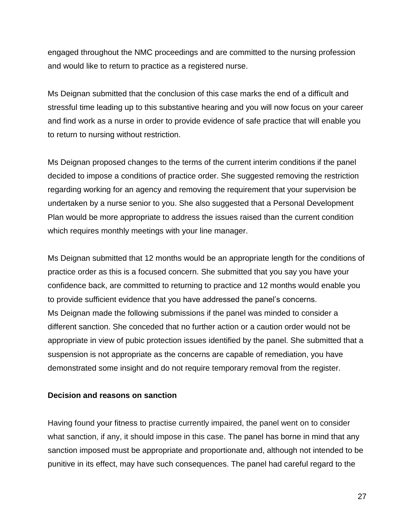engaged throughout the NMC proceedings and are committed to the nursing profession and would like to return to practice as a registered nurse.

Ms Deignan submitted that the conclusion of this case marks the end of a difficult and stressful time leading up to this substantive hearing and you will now focus on your career and find work as a nurse in order to provide evidence of safe practice that will enable you to return to nursing without restriction.

Ms Deignan proposed changes to the terms of the current interim conditions if the panel decided to impose a conditions of practice order. She suggested removing the restriction regarding working for an agency and removing the requirement that your supervision be undertaken by a nurse senior to you. She also suggested that a Personal Development Plan would be more appropriate to address the issues raised than the current condition which requires monthly meetings with your line manager.

Ms Deignan submitted that 12 months would be an appropriate length for the conditions of practice order as this is a focused concern. She submitted that you say you have your confidence back, are committed to returning to practice and 12 months would enable you to provide sufficient evidence that you have addressed the panel's concerns. Ms Deignan made the following submissions if the panel was minded to consider a different sanction. She conceded that no further action or a caution order would not be appropriate in view of pubic protection issues identified by the panel. She submitted that a suspension is not appropriate as the concerns are capable of remediation, you have demonstrated some insight and do not require temporary removal from the register.

#### **Decision and reasons on sanction**

Having found your fitness to practise currently impaired, the panel went on to consider what sanction, if any, it should impose in this case. The panel has borne in mind that any sanction imposed must be appropriate and proportionate and, although not intended to be punitive in its effect, may have such consequences. The panel had careful regard to the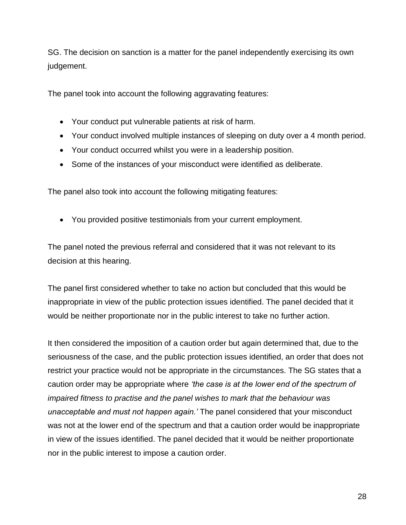SG. The decision on sanction is a matter for the panel independently exercising its own judgement.

The panel took into account the following aggravating features:

- Your conduct put vulnerable patients at risk of harm.
- Your conduct involved multiple instances of sleeping on duty over a 4 month period.
- Your conduct occurred whilst you were in a leadership position.
- Some of the instances of your misconduct were identified as deliberate.

The panel also took into account the following mitigating features:

You provided positive testimonials from your current employment.

The panel noted the previous referral and considered that it was not relevant to its decision at this hearing.

The panel first considered whether to take no action but concluded that this would be inappropriate in view of the public protection issues identified. The panel decided that it would be neither proportionate nor in the public interest to take no further action.

It then considered the imposition of a caution order but again determined that, due to the seriousness of the case, and the public protection issues identified, an order that does not restrict your practice would not be appropriate in the circumstances. The SG states that a caution order may be appropriate where *'the case is at the lower end of the spectrum of impaired fitness to practise and the panel wishes to mark that the behaviour was unacceptable and must not happen again.'* The panel considered that your misconduct was not at the lower end of the spectrum and that a caution order would be inappropriate in view of the issues identified. The panel decided that it would be neither proportionate nor in the public interest to impose a caution order.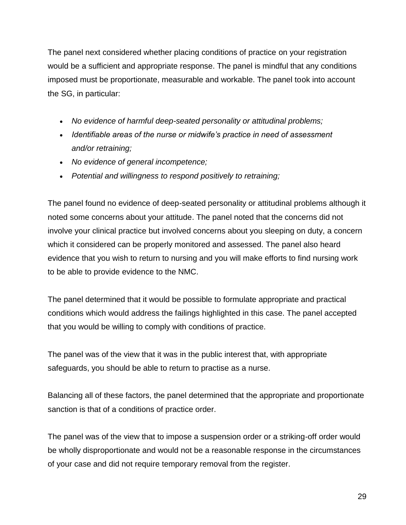The panel next considered whether placing conditions of practice on your registration would be a sufficient and appropriate response. The panel is mindful that any conditions imposed must be proportionate, measurable and workable. The panel took into account the SG, in particular:

- *No evidence of harmful deep-seated personality or attitudinal problems;*
- *Identifiable areas of the nurse or midwife's practice in need of assessment and/or retraining;*
- *No evidence of general incompetence;*
- *Potential and willingness to respond positively to retraining;*

The panel found no evidence of deep-seated personality or attitudinal problems although it noted some concerns about your attitude. The panel noted that the concerns did not involve your clinical practice but involved concerns about you sleeping on duty, a concern which it considered can be properly monitored and assessed. The panel also heard evidence that you wish to return to nursing and you will make efforts to find nursing work to be able to provide evidence to the NMC.

The panel determined that it would be possible to formulate appropriate and practical conditions which would address the failings highlighted in this case. The panel accepted that you would be willing to comply with conditions of practice.

The panel was of the view that it was in the public interest that, with appropriate safeguards, you should be able to return to practise as a nurse.

Balancing all of these factors, the panel determined that the appropriate and proportionate sanction is that of a conditions of practice order.

The panel was of the view that to impose a suspension order or a striking-off order would be wholly disproportionate and would not be a reasonable response in the circumstances of your case and did not require temporary removal from the register.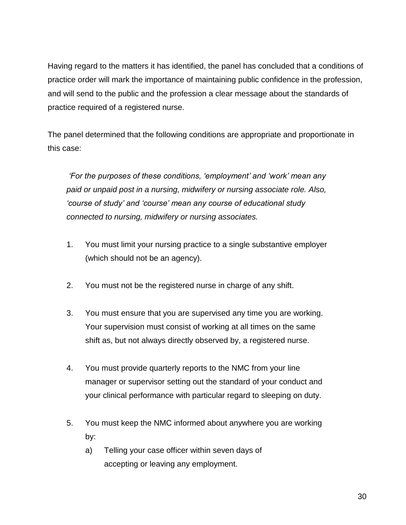Having regard to the matters it has identified, the panel has concluded that a conditions of practice order will mark the importance of maintaining public confidence in the profession, and will send to the public and the profession a clear message about the standards of practice required of a registered nurse.

The panel determined that the following conditions are appropriate and proportionate in this case:

*'For the purposes of these conditions, 'employment' and 'work' mean any paid or unpaid post in a nursing, midwifery or nursing associate role. Also, 'course of study' and 'course' mean any course of educational study connected to nursing, midwifery or nursing associates.*

- 1. You must limit your nursing practice to a single substantive employer (which should not be an agency).
- 2. You must not be the registered nurse in charge of any shift.
- 3. You must ensure that you are supervised any time you are working. Your supervision must consist of working at all times on the same shift as, but not always directly observed by, a registered nurse.
- 4. You must provide quarterly reports to the NMC from your line manager or supervisor setting out the standard of your conduct and your clinical performance with particular regard to sleeping on duty.
- 5. You must keep the NMC informed about anywhere you are working by:
	- a) Telling your case officer within seven days of accepting or leaving any employment.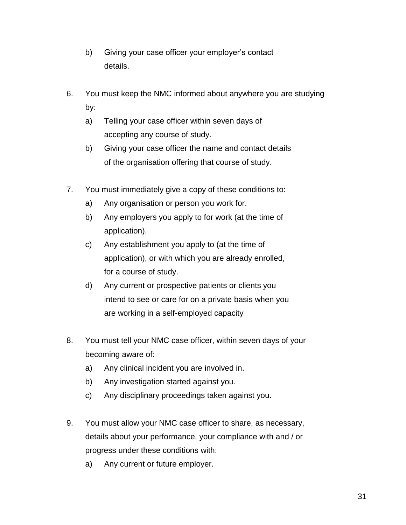- b) Giving your case officer your employer's contact details.
- 6. You must keep the NMC informed about anywhere you are studying by:
	- a) Telling your case officer within seven days of accepting any course of study.
	- b) Giving your case officer the name and contact details of the organisation offering that course of study.
- 7. You must immediately give a copy of these conditions to:
	- a) Any organisation or person you work for.
	- b) Any employers you apply to for work (at the time of application).
	- c) Any establishment you apply to (at the time of application), or with which you are already enrolled, for a course of study.
	- d) Any current or prospective patients or clients you intend to see or care for on a private basis when you are working in a self-employed capacity
- 8. You must tell your NMC case officer, within seven days of your becoming aware of:
	- a) Any clinical incident you are involved in.
	- b) Any investigation started against you.
	- c) Any disciplinary proceedings taken against you.
- 9. You must allow your NMC case officer to share, as necessary, details about your performance, your compliance with and / or progress under these conditions with:
	- a) Any current or future employer.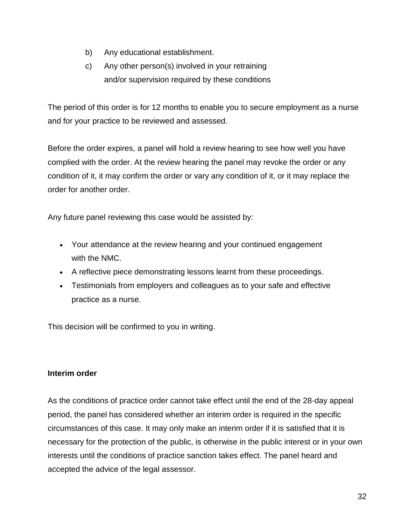- b) Any educational establishment.
- c) Any other person(s) involved in your retraining and/or supervision required by these conditions

The period of this order is for 12 months to enable you to secure employment as a nurse and for your practice to be reviewed and assessed.

Before the order expires, a panel will hold a review hearing to see how well you have complied with the order. At the review hearing the panel may revoke the order or any condition of it, it may confirm the order or vary any condition of it, or it may replace the order for another order.

Any future panel reviewing this case would be assisted by:

- Your attendance at the review hearing and your continued engagement with the NMC.
- A reflective piece demonstrating lessons learnt from these proceedings.
- Testimonials from employers and colleagues as to your safe and effective practice as a nurse.

This decision will be confirmed to you in writing.

# **Interim order**

As the conditions of practice order cannot take effect until the end of the 28-day appeal period, the panel has considered whether an interim order is required in the specific circumstances of this case. It may only make an interim order if it is satisfied that it is necessary for the protection of the public, is otherwise in the public interest or in your own interests until the conditions of practice sanction takes effect. The panel heard and accepted the advice of the legal assessor.